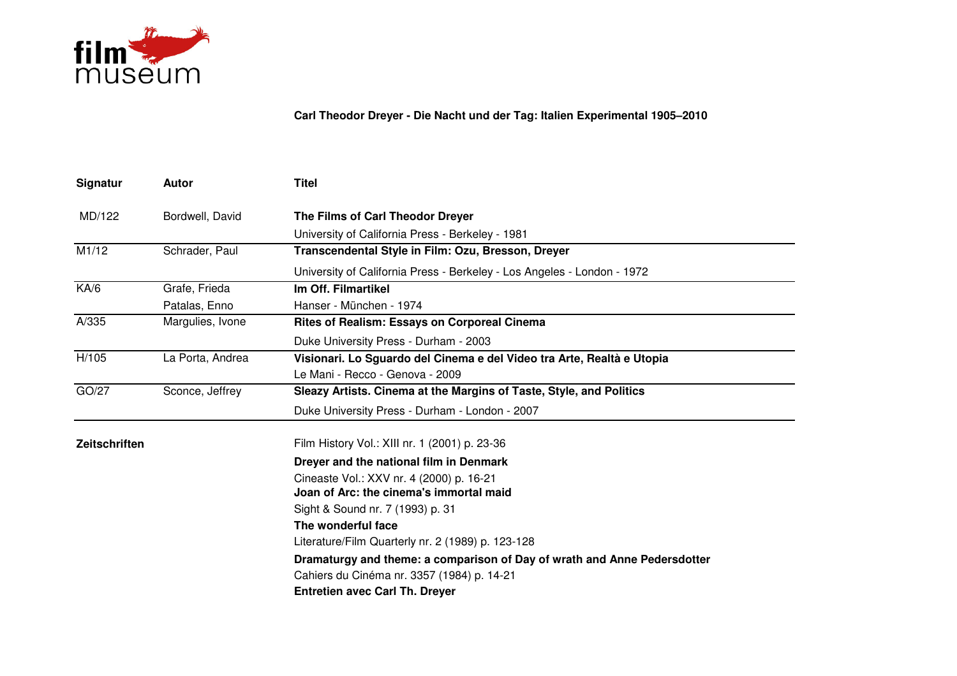

**Carl Theodor Dreyer - Die Nacht und der Tag: Italien Experimental 1905–2010**

| Signatur      | Autor            | <b>Titel</b>                                                             |
|---------------|------------------|--------------------------------------------------------------------------|
| MD/122        | Bordwell, David  | The Films of Carl Theodor Dreyer                                         |
|               |                  | University of California Press - Berkeley - 1981                         |
| M1/12         | Schrader, Paul   | Transcendental Style in Film: Ozu, Bresson, Dreyer                       |
|               |                  | University of California Press - Berkeley - Los Angeles - London - 1972  |
| K A/6         | Grafe, Frieda    | Im Off. Filmartikel                                                      |
|               | Patalas, Enno    | Hanser - München - 1974                                                  |
| A/335         | Margulies, Ivone | <b>Rites of Realism: Essays on Corporeal Cinema</b>                      |
|               |                  | Duke University Press - Durham - 2003                                    |
| H/105         | La Porta, Andrea | Visionari. Lo Sguardo del Cinema e del Video tra Arte, Realtà e Utopia   |
|               |                  | Le Mani - Recco - Genova - 2009                                          |
| GO/27         | Sconce, Jeffrey  | Sleazy Artists. Cinema at the Margins of Taste, Style, and Politics      |
|               |                  | Duke University Press - Durham - London - 2007                           |
| Zeitschriften |                  | Film History Vol.: XIII nr. 1 (2001) p. 23-36                            |
|               |                  | Dreyer and the national film in Denmark                                  |
|               |                  | Cineaste Vol.: XXV nr. 4 (2000) p. 16-21                                 |
|               |                  | Joan of Arc: the cinema's immortal maid                                  |
|               |                  | Sight & Sound nr. 7 (1993) p. 31                                         |
|               |                  | The wonderful face                                                       |
|               |                  | Literature/Film Quarterly nr. 2 (1989) p. 123-128                        |
|               |                  | Dramaturgy and theme: a comparison of Day of wrath and Anne Pedersdotter |
|               |                  | Cahiers du Cinéma nr. 3357 (1984) p. 14-21                               |
|               |                  | <b>Entretien avec Carl Th. Dreyer</b>                                    |